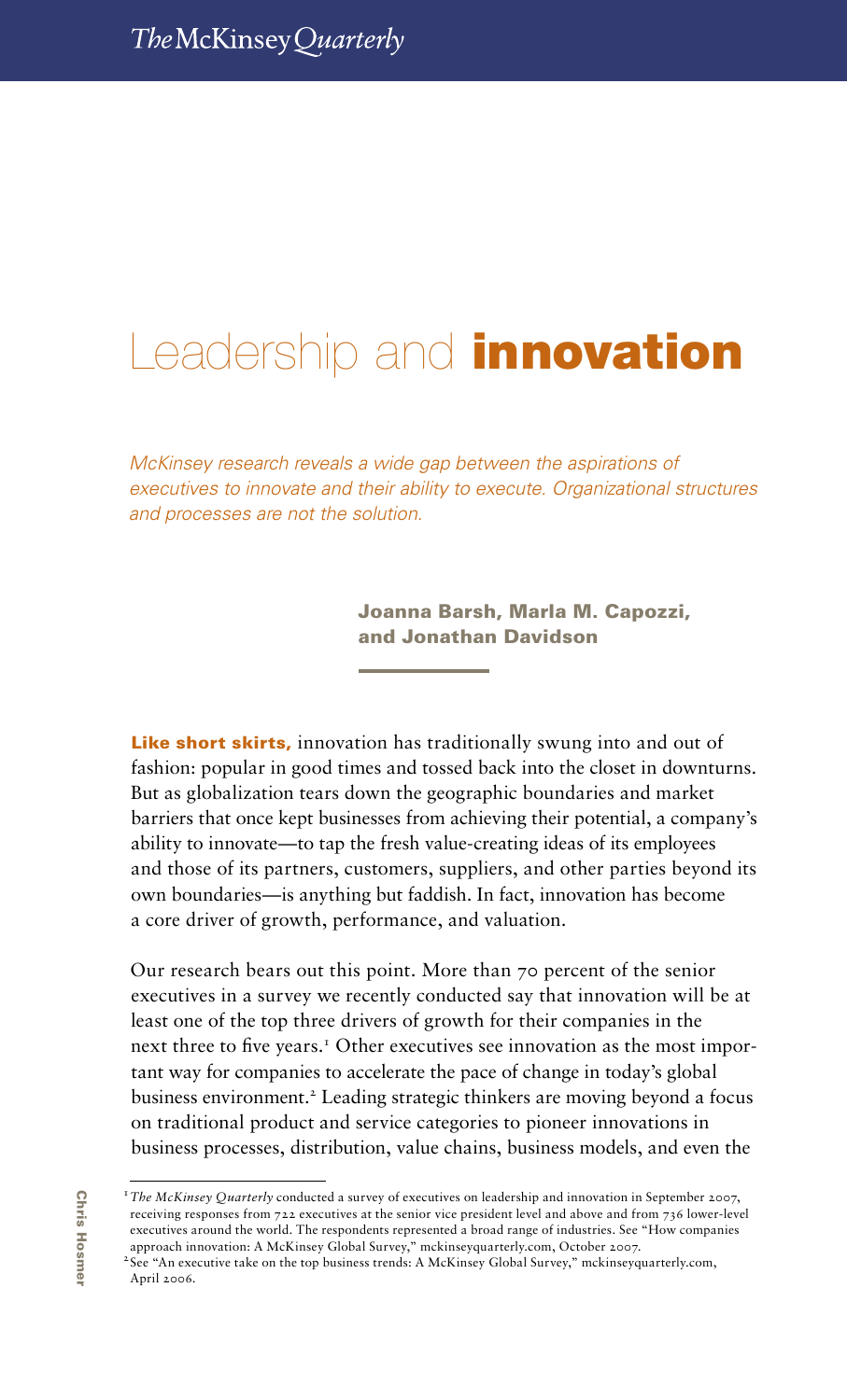# Leadership and **innovation**

*McKinsey research reveals a wide gap between the aspirations of executives to innovate and their ability to execute. Organizational structures and processes are not the solution.*

> Joanna Barsh, Marla M. Capozzi, and Jonathan Davidson

Leadership and innovation 37

Like short skirts, innovation has traditionally swung into and out of fashion: popular in good times and tossed back into the closet in downturns. But as globalization tears down the geographic boundaries and market barriers that once kept businesses from achieving their potential, a company's ability to innovate—to tap the fresh value-creating ideas of its employees and those of its partners, customers, suppliers, and other parties beyond its own boundaries—is anything but faddish. In fact, innovation has become a core driver of growth, performance, and valuation.

Our research bears out this point. More than 70 percent of the senior executives in a survey we recently conducted say that innovation will be at least one of the top three drivers of growth for their companies in the next three to five years.<sup>1</sup> Other executives see innovation as the most important way for companies to accelerate the pace of change in today's global business environment.<sup>2</sup> Leading strategic thinkers are moving beyond a focus on traditional product and service categories to pioneer innovations in business processes, distribution, value chains, business models, and even the

<sup>&</sup>lt;sup>1</sup>The McKinsey Quarterly conducted a survey of executives on leadership and innovation in September 2007, receiving responses from 722 executives at the senior vice president level and above and from 736 lower-level executives around the world. The respondents represented a broad range of industries. See "How companies approach innovation: A McKinsey Global Survey," mckinseyquarterly.com, October 2007.

<sup>&</sup>lt;sup>2</sup>See "An executive take on the top business trends: A McKinsey Global Survey," mckinseyquarterly.com, April 2006.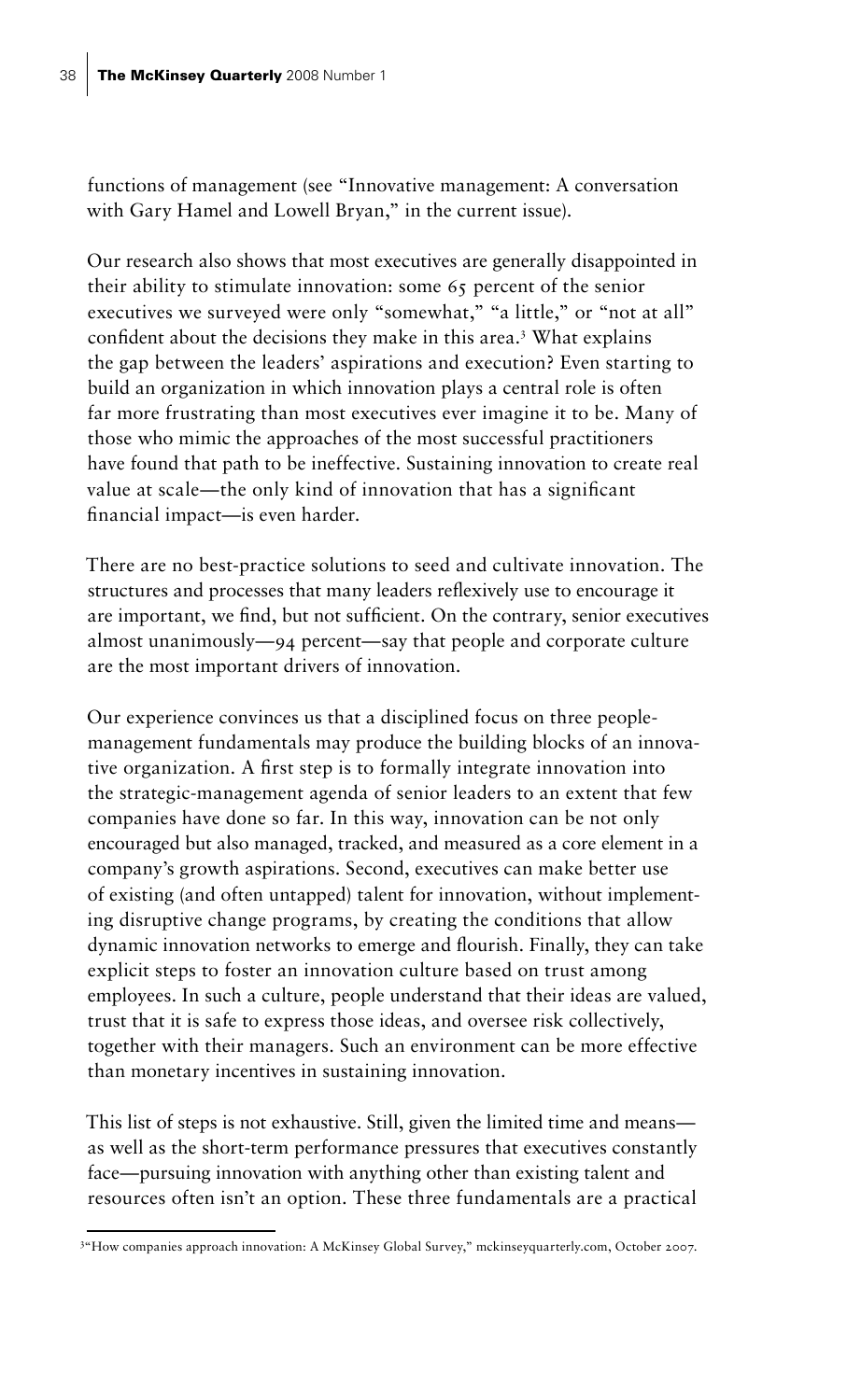functions of management (see "Innovative management: A conversation with Gary Hamel and Lowell Bryan," in the current issue).

Our research also shows that most executives are generally disappointed in their ability to stimulate innovation: some 65 percent of the senior executives we surveyed were only "somewhat," "a little," or "not at all" confident about the decisions they make in this area.<sup>3</sup> What explains the gap between the leaders' aspirations and execution? Even starting to build an organization in which innovation plays a central role is often far more frustrating than most executives ever imagine it to be. Many of those who mimic the approaches of the most successful practitioners have found that path to be ineffective. Sustaining innovation to create real value at scale—the only kind of innovation that has a significant financial impact—is even harder.

There are no best-practice solutions to seed and cultivate innovation. The structures and processes that many leaders reflexively use to encourage it are important, we find, but not sufficient. On the contrary, senior executives almost unanimously—94 percent—say that people and corporate culture are the most important drivers of innovation.

Our experience convinces us that a disciplined focus on three peoplemanagement fundamentals may produce the building blocks of an innovative organization. A first step is to formally integrate innovation into the strategic-management agenda of senior leaders to an extent that few companies have done so far. In this way, innovation can be not only encouraged but also managed, tracked, and measured as a core element in a company's growth aspirations. Second, executives can make better use of existing (and often untapped) talent for innovation, without implementing disruptive change programs, by creating the conditions that allow dynamic innovation networks to emerge and flourish. Finally, they can take explicit steps to foster an innovation culture based on trust among employees. In such a culture, people understand that their ideas are valued, trust that it is safe to express those ideas, and oversee risk collectively, together with their managers. Such an environment can be more effective than monetary incentives in sustaining innovation.

This list of steps is not exhaustive. Still, given the limited time and means as well as the short-term performance pressures that executives constantly face—pursuing innovation with anything other than existing talent and resources often isn't an option. These three fundamentals are a practical

<sup>3</sup> "How companies approach innovation: A McKinsey Global Survey," mckinseyquarterly.com, October 2007.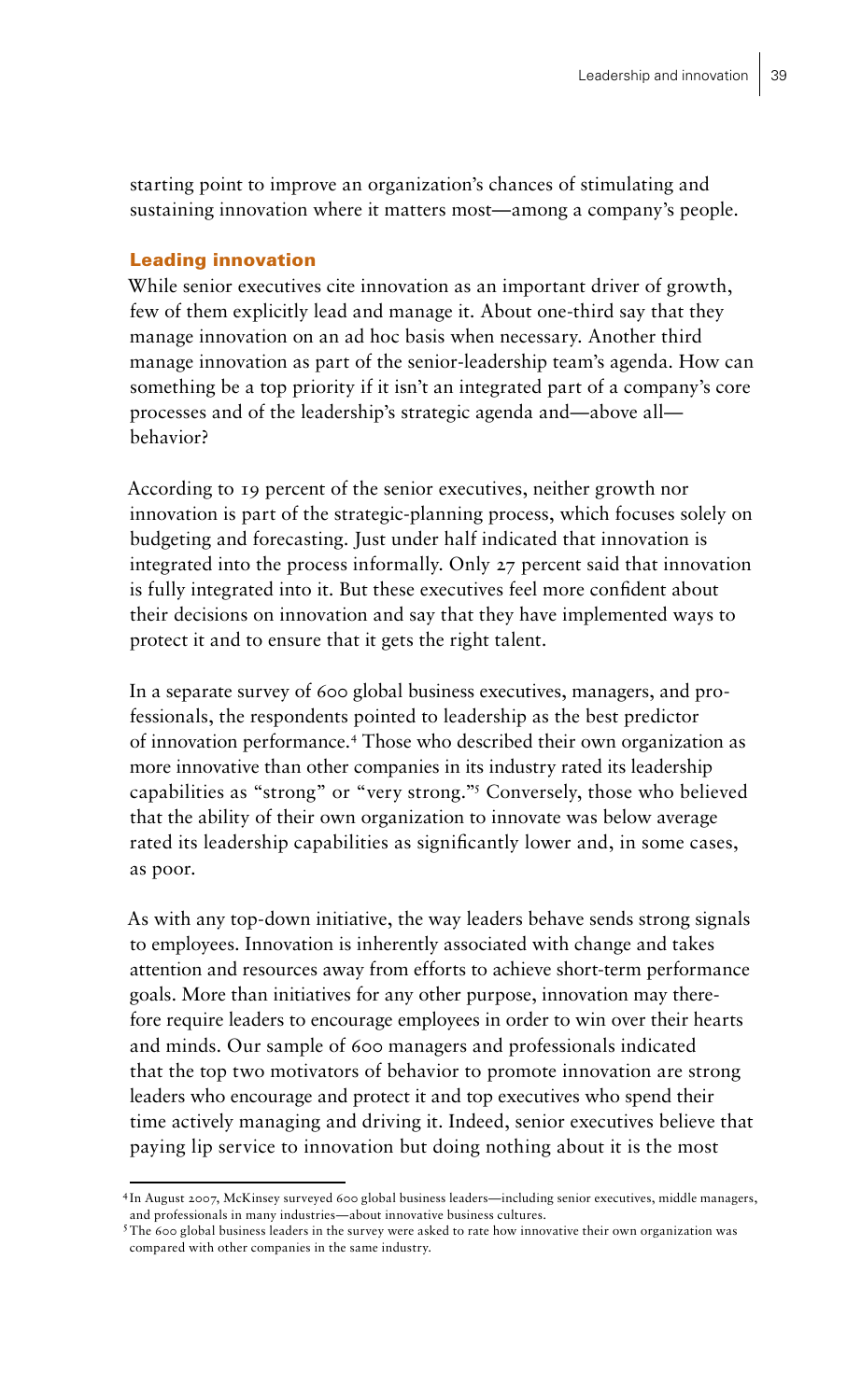starting point to improve an organization's chances of stimulating and sustaining innovation where it matters most—among a company's people.

## Leading innovation

While senior executives cite innovation as an important driver of growth, few of them explicitly lead and manage it. About one-third say that they manage innovation on an ad hoc basis when necessary. Another third manage innovation as part of the senior-leadership team's agenda. How can something be a top priority if it isn't an integrated part of a company's core processes and of the leadership's strategic agenda and—above all behavior?

According to 19 percent of the senior executives, neither growth nor innovation is part of the strategic-planning process, which focuses solely on budgeting and forecasting. Just under half indicated that innovation is integrated into the process informally. Only 27 percent said that innovation is fully integrated into it. But these executives feel more confident about their decisions on innovation and say that they have implemented ways to protect it and to ensure that it gets the right talent.

In a separate survey of 600 global business executives, managers, and professionals, the respondents pointed to leadership as the best predictor of innovation performance.4 Those who described their own organization as more innovative than other companies in its industry rated its leadership capabilities as "strong" or "very strong."5 Conversely, those who believed that the ability of their own organization to innovate was below average rated its leadership capabilities as significantly lower and, in some cases, as poor.

As with any top-down initiative, the way leaders behave sends strong signals to employees. Innovation is inherently associated with change and takes attention and resources away from efforts to achieve short-term performance goals. More than initiatives for any other purpose, innovation may therefore require leaders to encourage employees in order to win over their hearts and minds. Our sample of 600 managers and professionals indicated that the top two motivators of behavior to promote innovation are strong leaders who encourage and protect it and top executives who spend their time actively managing and driving it. Indeed, senior executives believe that paying lip service to innovation but doing nothing about it is the most

<sup>4</sup>In August 2007, McKinsey surveyed 600 global business leaders—including senior executives, middle managers, and professionals in many industries—about innovative business cultures.

<sup>&</sup>lt;sup>5</sup>The 600 global business leaders in the survey were asked to rate how innovative their own organization was compared with other companies in the same industry.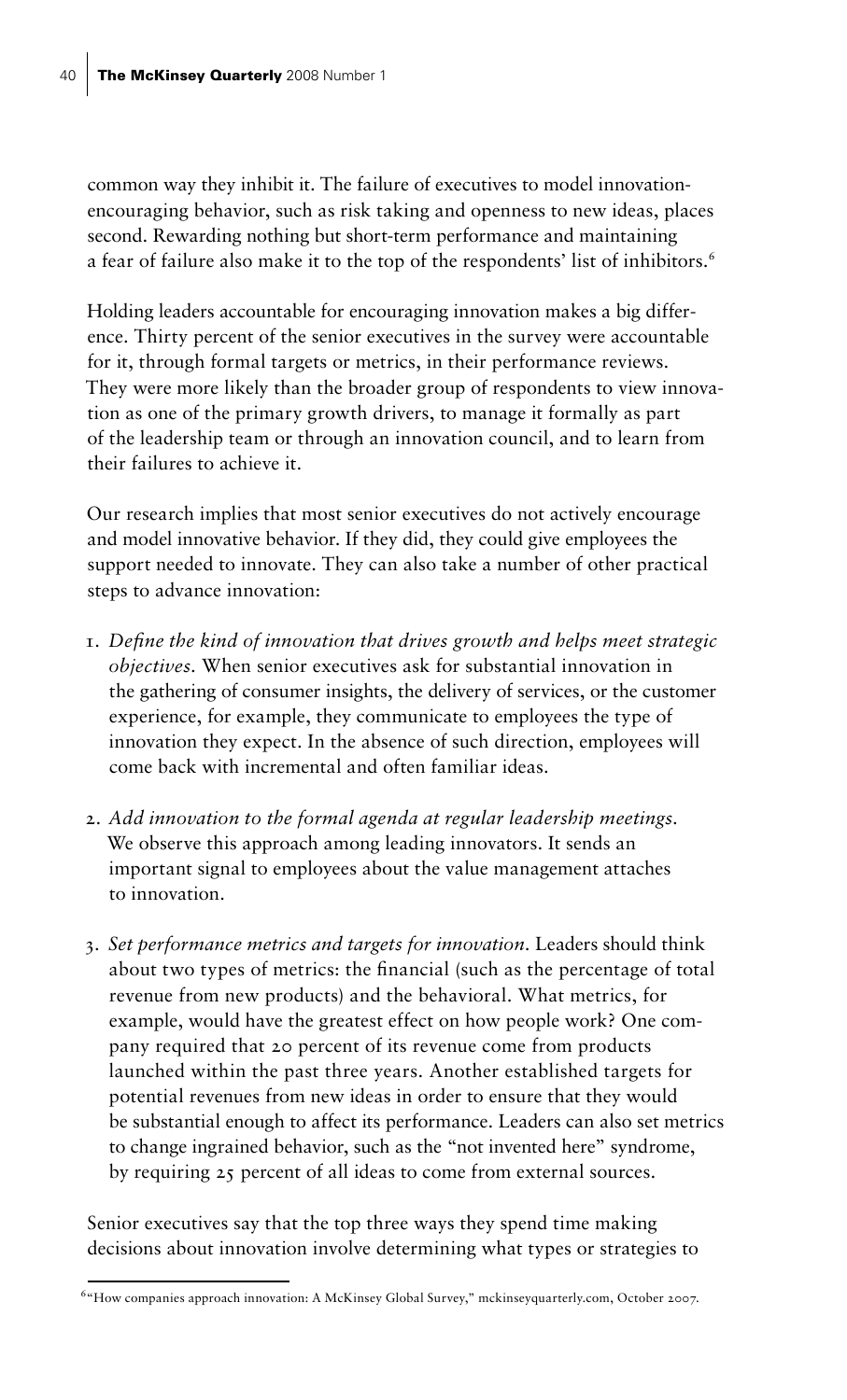common way they inhibit it. The failure of executives to model innovationencouraging behavior, such as risk taking and openness to new ideas, places second. Rewarding nothing but short-term performance and maintaining a fear of failure also make it to the top of the respondents' list of inhibitors.<sup>6</sup>

Holding leaders accountable for encouraging innovation makes a big difference. Thirty percent of the senior executives in the survey were accountable for it, through formal targets or metrics, in their performance reviews. They were more likely than the broader group of respondents to view innovation as one of the primary growth drivers, to manage it formally as part of the leadership team or through an innovation council, and to learn from their failures to achieve it.

Our research implies that most senior executives do not actively encourage and model innovative behavior. If they did, they could give employees the support needed to innovate. They can also take a number of other practical steps to advance innovation:

- 1. *Define the kind of innovation that drives growth and helps meet strategic objectives.* When senior executives ask for substantial innovation in the gathering of consumer insights, the delivery of services, or the customer experience, for example, they communicate to employees the type of innovation they expect. In the absence of such direction, employees will come back with incremental and often familiar ideas.
- 2. *Add innovation to the formal agenda at regular leadership meetings.* We observe this approach among leading innovators. It sends an important signal to employees about the value management attaches to innovation.
- 3. *Set performance metrics and targets for innovation.* Leaders should think about two types of metrics: the financial (such as the percentage of total revenue from new products) and the behavioral. What metrics, for example, would have the greatest effect on how people work? One company required that 20 percent of its revenue come from products launched within the past three years. Another established targets for potential revenues from new ideas in order to ensure that they would be substantial enough to affect its performance. Leaders can also set metrics to change ingrained behavior, such as the "not invented here" syndrome, by requiring 25 percent of all ideas to come from external sources.

Senior executives say that the top three ways they spend time making decisions about innovation involve determining what types or strategies to

<sup>6&</sup>quot;How companies approach innovation: A McKinsey Global Survey," mckinseyquarterly.com, October 2007.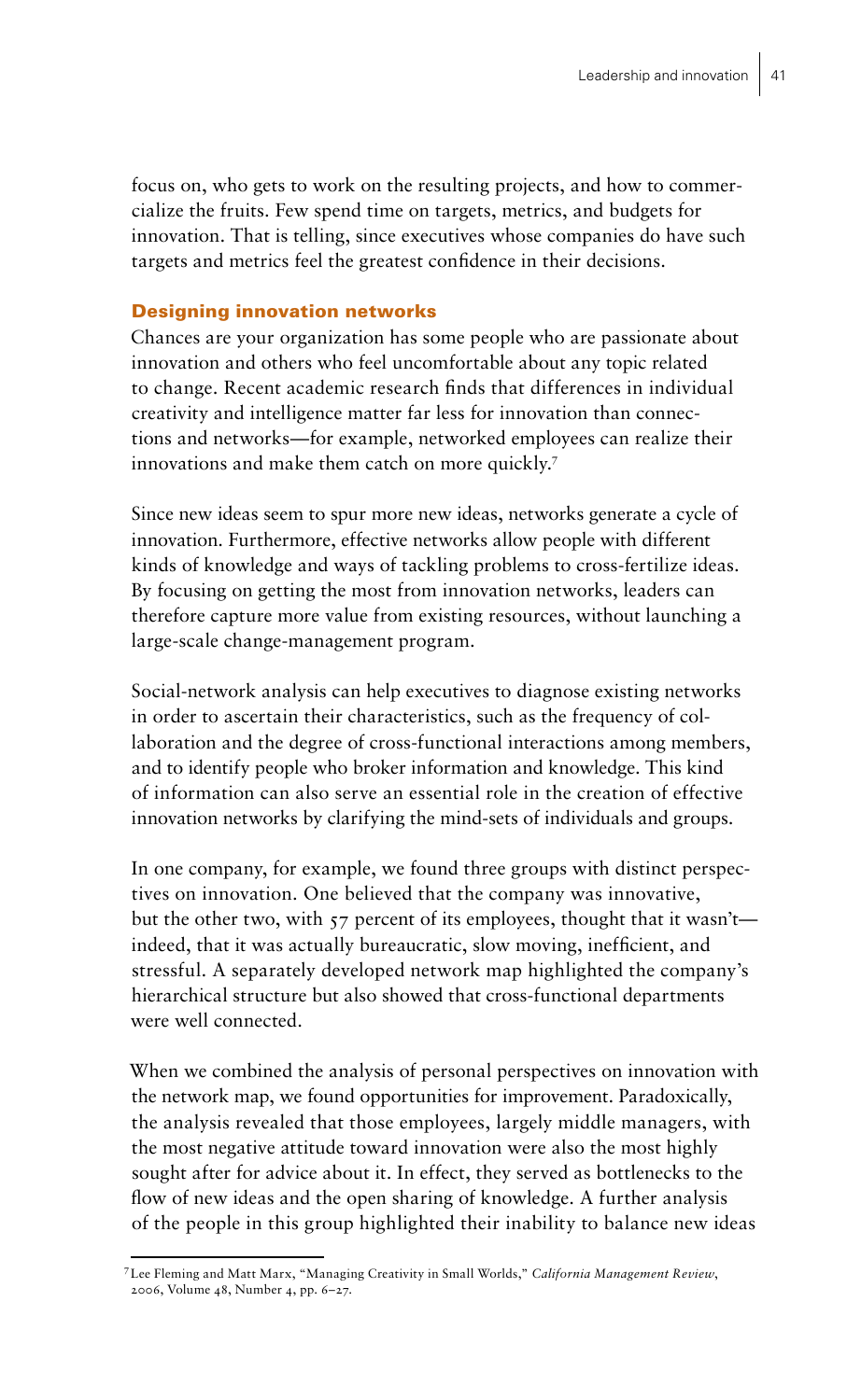focus on, who gets to work on the resulting projects, and how to commercialize the fruits. Few spend time on targets, metrics, and budgets for innovation. That is telling, since executives whose companies do have such targets and metrics feel the greatest confidence in their decisions.

# Designing innovation networks

Chances are your organization has some people who are passionate about innovation and others who feel uncomfortable about any topic related to change. Recent academic research finds that differences in individual creativity and intelligence matter far less for innovation than connections and networks—for example, networked employees can realize their innovations and make them catch on more quickly.7

Since new ideas seem to spur more new ideas, networks generate a cycle of innovation. Furthermore, effective networks allow people with different kinds of knowledge and ways of tackling problems to cross-fertilize ideas. By focusing on getting the most from innovation networks, leaders can therefore capture more value from existing resources, without launching a large-scale change-management program.

Social-network analysis can help executives to diagnose existing networks in order to ascertain their characteristics, such as the frequency of collaboration and the degree of cross-functional interactions among members, and to identify people who broker information and knowledge. This kind of information can also serve an essential role in the creation of effective innovation networks by clarifying the mind-sets of individuals and groups.

In one company, for example, we found three groups with distinct perspectives on innovation. One believed that the company was innovative, but the other two, with  $57$  percent of its employees, thought that it wasn't indeed, that it was actually bureaucratic, slow moving, inefficient, and stressful. A separately developed network map highlighted the company's hierarchical structure but also showed that cross-functional departments were well connected.

When we combined the analysis of personal perspectives on innovation with the network map, we found opportunities for improvement. Paradoxically, the analysis revealed that those employees, largely middle managers, with the most negative attitude toward innovation were also the most highly sought after for advice about it. In effect, they served as bottlenecks to the flow of new ideas and the open sharing of knowledge. A further analysis of the people in this group highlighted their inability to balance new ideas

<sup>7</sup>Lee Fleming and Matt Marx, "Managing Creativity in Small Worlds," *California Management Review*, 2006, Volume 48, Number 4, pp. 6–27.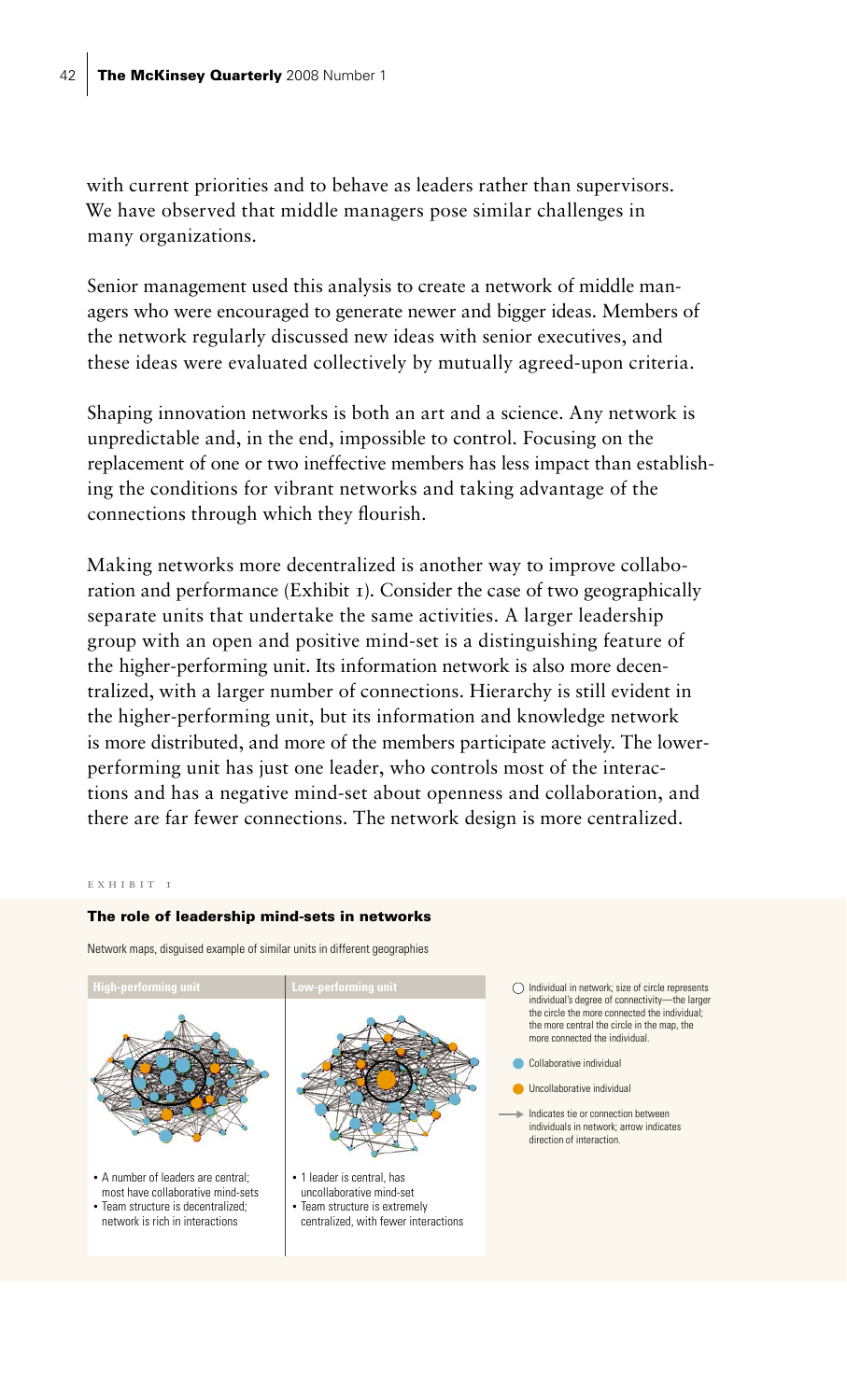with current priorities and to behave as leaders rather than supervisors. We have observed that middle managers pose similar challenges in many organizations.

Senior management used this analysis to create a network of middle managers who were encouraged to generate newer and bigger ideas. Members of the network regularly discussed new ideas with senior executives, and these ideas were evaluated collectively by mutually agreed-upon criteria.

Shaping innovation networks is both an art and a science. Any network is unpredictable and, in the end, impossible to control. Focusing on the replacement of one or two ineffective members has less impact than establishing the conditions for vibrant networks and taking advantage of the connections through which they flourish.

Making networks more decentralized is another way to improve collaboration and performance (Exhibit  $\tau$ ). Consider the case of two geographically separate units that undertake the same activities. A larger leadership group with an open and positive mind-set is a distinguishing feature of the higher-performing unit. Its information network is also more decentralized, with a larger number of connections. Hierarchy is still evident in the higher-performing unit, but its information and knowledge network is more distributed, and more of the members participate actively. The lowerperforming unit has just one leader, who controls most of the interactions and has a negative mind-set about openness and collaboration, and there are far fewer connections. The network design is more centralized.

#### exhibit 1

## The role of leadership mind-sets in networks

Network maps, disguised example of similar units in different geographies

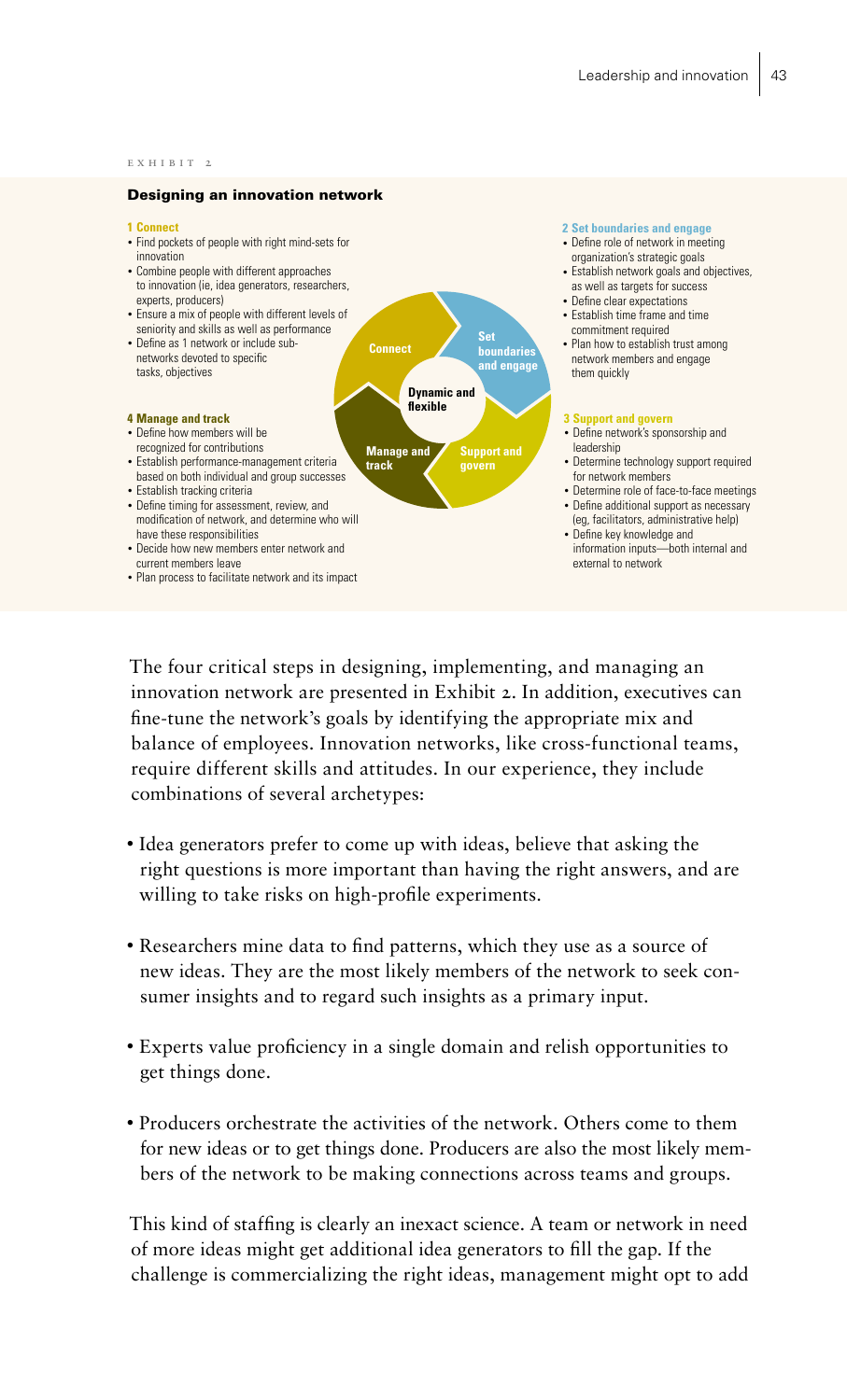#### exhibit 2

### Designing an innovation network

#### **1 Connect**

- Find pockets of people with right mind-sets for innovation
- Combine people with different approaches to innovation (ie, idea generators, researchers, experts, producers)
- Ensure a mix of people with different levels of seniority and skills as well as performance
- Define as 1 network or include subnetworks devoted to specific tasks, objectives

#### **4 Manage and track**

- Define how members will be
- recognized for contributions • Establish performance-management criteria
- based on both individual and group successes • Establish tracking criteria
- Define timing for assessment, review, and modification of network, and determine who will have these responsibilities
- Decide how new members enter network and current members leave
- Plan process to facilitate network and its impact

## **2 Set boundaries and engage**

- Define role of network in meeting organization's strategic goals
- Establish network goals and objectives, as well as targets for success
- Define clear expectations • Establish time frame and time
- commitment required • Plan how to establish trust among network members and engage them quickly

#### **3 Support and govern**

- Define network's sponsorship and leadership
- Determine technology support required for network members
- Determine role of face-to-face meetings • Define additional support as necessary (eg, facilitators, administrative help)
- Define key knowledge and information inputs—both internal and external to network

The four critical steps in designing, implementing, and managing an innovation network are presented in Exhibit 2. In addition, executives can fine-tune the network's goals by identifying the appropriate mix and balance of employees. Innovation networks, like cross-functional teams, require different skills and attitudes. In our experience, they include combinations of several archetypes:

**Dynamic and flexible**

**Set boundaries and engage**

**Support and govern**

**Connect**

**Manage and track**

- Idea generators prefer to come up with ideas, believe that asking the right questions is more important than having the right answers, and are willing to take risks on high-profile experiments.
- Researchers mine data to find patterns, which they use as a source of new ideas. They are the most likely members of the network to seek consumer insights and to regard such insights as a primary input.
- Experts value proficiency in a single domain and relish opportunities to get things done.
- Producers orchestrate the activities of the network. Others come to them for new ideas or to get things done. Producers are also the most likely members of the network to be making connections across teams and groups.

This kind of staffing is clearly an inexact science. A team or network in need of more ideas might get additional idea generators to fill the gap. If the challenge is commercializing the right ideas, management might opt to add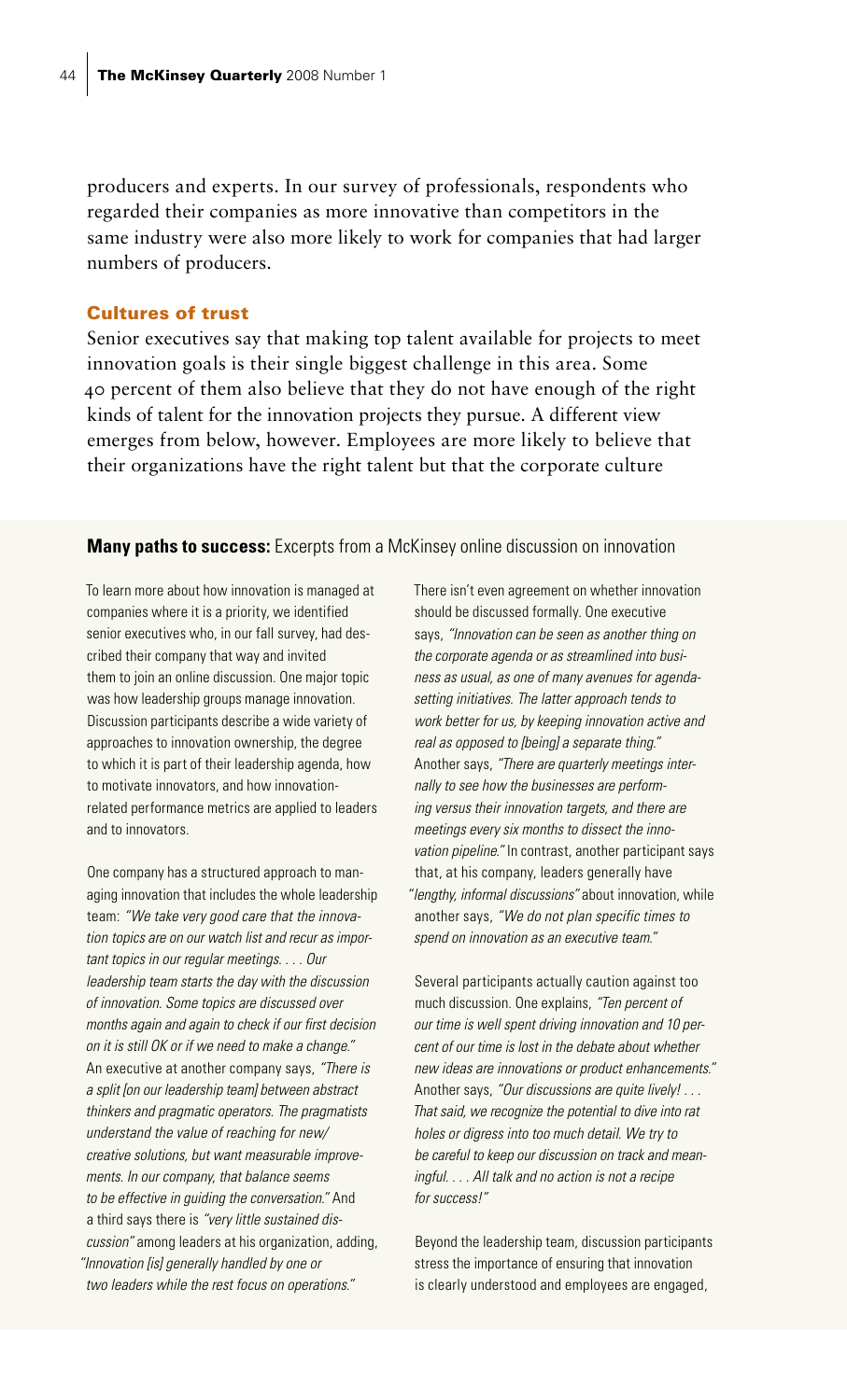producers and experts. In our survey of professionals, respondents who regarded their companies as more innovative than competitors in the same industry were also more likely to work for companies that had larger numbers of producers.

## Cultures of trust

Senior executives say that making top talent available for projects to meet innovation goals is their single biggest challenge in this area. Some 40 percent of them also believe that they do not have enough of the right kinds of talent for the innovation projects they pursue. A different view emerges from below, however. Employees are more likely to believe that their organizations have the right talent but that the corporate culture

## **Many paths to success:** Excerpts from a McKinsey online discussion on innovation

To learn more about how innovation is managed at companies where it is a priority, we identified senior executives who, in our fall survey, had described their company that way and invited them to join an online discussion. One major topic was how leadership groups manage innovation. Discussion participants describe a wide variety of approaches to innovation ownership, the degree to which it is part of their leadership agenda, how to motivate innovators, and how innovationrelated performance metrics are applied to leaders and to innovators.

One company has a structured approach to managing innovation that includes the whole leadership team: *"We take very good care that the innovation topics are on our watch list and recur as important topics in our regular meetings. . . . Our leadership team starts the day with the discussion of innovation. Some topics are discussed over months again and again to check if our first decision on it is still OK or if we need to make a change."* An executive at another company says, *"There is a split [on our leadership team] between abstract thinkers and pragmatic operators. The pragmatists understand the value of reaching for new/ creative solutions, but want measurable improvements. In our company, that balance seems to be effective in guiding the conversation."* And a third says there is *"very little sustained discussion"* among leaders at his organization, adding, *"Innovation [is] generally handled by one or two leaders while the rest focus on operations."*

There isn't even agreement on whether innovation should be discussed formally. One executive says, *"Innovation can be seen as another thing on the corporate agenda or as streamlined into business as usual, as one of many avenues for agendasetting initiatives. The latter approach tends to work better for us, by keeping innovation active and real as opposed to [being] a separate thing."* Another says, *"There are quarterly meetings internally to see how the businesses are performing versus their innovation targets, and there are meetings every six months to dissect the innovation pipeline."* In contrast, another participant says that, at his company, leaders generally have *"lengthy, informal discussions"* about innovation, while another says, *"We do not plan specific times to spend on innovation as an executive team."*

Several participants actually caution against too much discussion. One explains, *"Ten percent of our time is well spent driving innovation and 10 percent of our time is lost in the debate about whether new ideas are innovations or product enhancements."* Another says, *"Our discussions are quite lively! . . . That said, we recognize the potential to dive into rat holes or digress into too much detail. We try to be careful to keep our discussion on track and meaningful. . . . All talk and no action is not a recipe for success!"*

Beyond the leadership team, discussion participants stress the importance of ensuring that innovation is clearly understood and employees are engaged,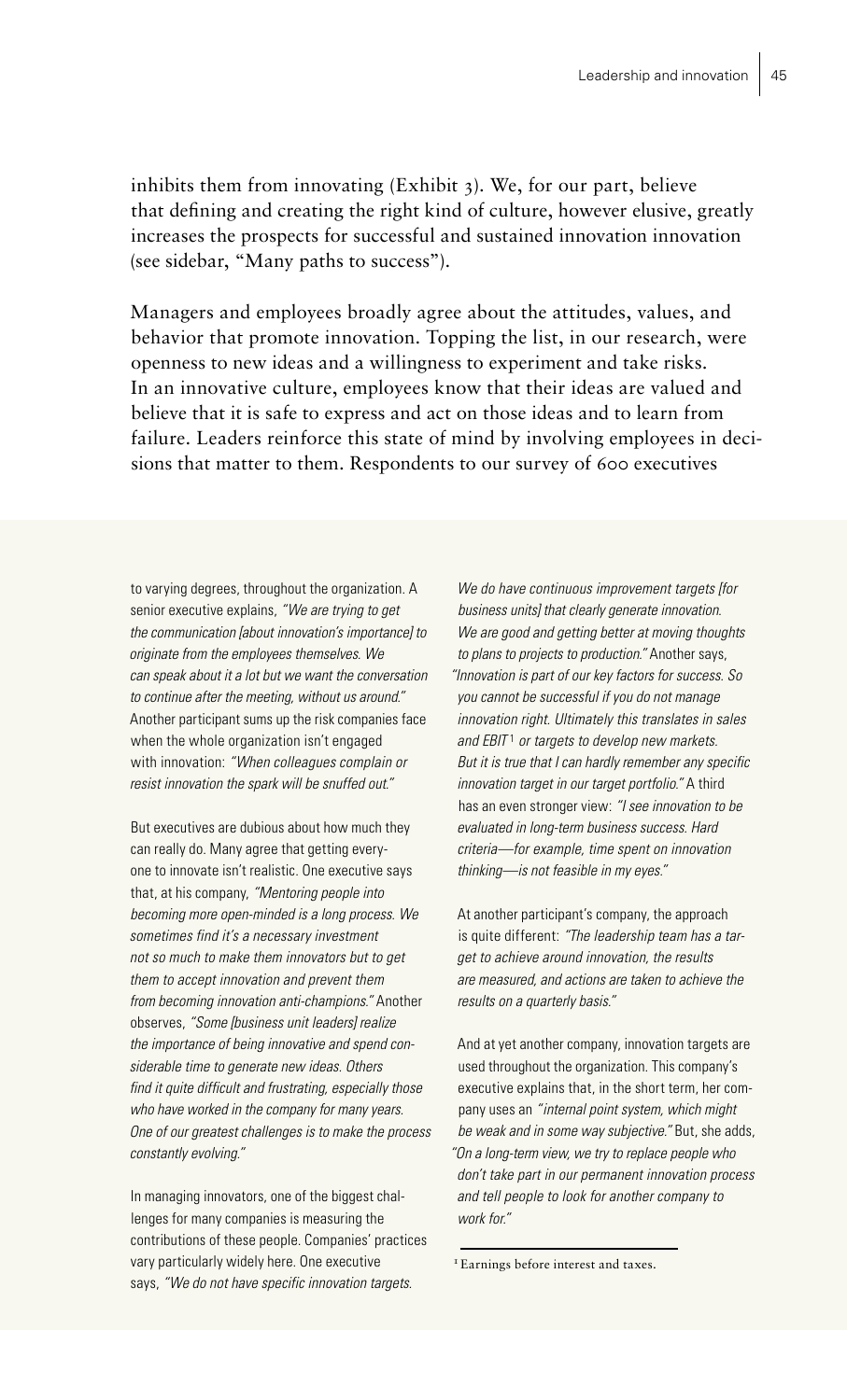inhibits them from innovating (Exhibit 3). We, for our part, believe that defining and creating the right kind of culture, however elusive, greatly increases the prospects for successful and sustained innovation innovation (see sidebar, "Many paths to success").

Managers and employees broadly agree about the attitudes, values, and behavior that promote innovation. Topping the list, in our research, were openness to new ideas and a willingness to experiment and take risks. In an innovative culture, employees know that their ideas are valued and believe that it is safe to express and act on those ideas and to learn from failure. Leaders reinforce this state of mind by involving employees in decisions that matter to them. Respondents to our survey of 600 executives

to varying degrees, throughout the organization. A senior executive explains, *"We are trying to get the communication [about innovation's importance] to originate from the employees themselves. We can speak about it a lot but we want the conversation to continue after the meeting, without us around."* Another participant sums up the risk companies face when the whole organization isn't engaged with innovation: *"When colleagues complain or resist innovation the spark will be snuffed out."*

But executives are dubious about how much they can really do. Many agree that getting everyone to innovate isn't realistic. One executive says that, at his company, *"Mentoring people into becoming more open-minded is a long process. We sometimes find it's a necessary investment not so much to make them innovators but to get them to accept innovation and prevent them from becoming innovation anti-champions."* Another observes, *"Some [business unit leaders] realize the importance of being innovative and spend considerable time to generate new ideas. Others find it quite difficult and frustrating, especially those who have worked in the company for many years. One of our greatest challenges is to make the process constantly evolving."*

In managing innovators, one of the biggest challenges for many companies is measuring the contributions of these people. Companies' practices vary particularly widely here. One executive says, *"We do not have specific innovation targets.* 

*We do have continuous improvement targets [for business units] that clearly generate innovation. We are good and getting better at moving thoughts to plans to projects to production."* Another says, *"Innovation is part of our key factors for success. So you cannot be successful if you do not manage innovation right. Ultimately this translates in sales and EBIT* <sup>1</sup> *or targets to develop new markets. But it is true that I can hardly remember any specific innovation target in our target portfolio."* A third has an even stronger view: *"I see innovation to be evaluated in long-term business success. Hard criteria—for example, time spent on innovation thinking—is not feasible in my eyes."*

At another participant's company, the approach is quite different: *"The leadership team has a target to achieve around innovation, the results are measured, and actions are taken to achieve the results on a quarterly basis."*

And at yet another company, innovation targets are used throughout the organization. This company's executive explains that, in the short term, her company uses an *"internal point system, which might be weak and in some way subjective."* But, she adds, *"On a long-term view, we try to replace people who don't take part in our permanent innovation process and tell people to look for another company to work for."*

<sup>&</sup>lt;sup>1</sup> Earnings before interest and taxes.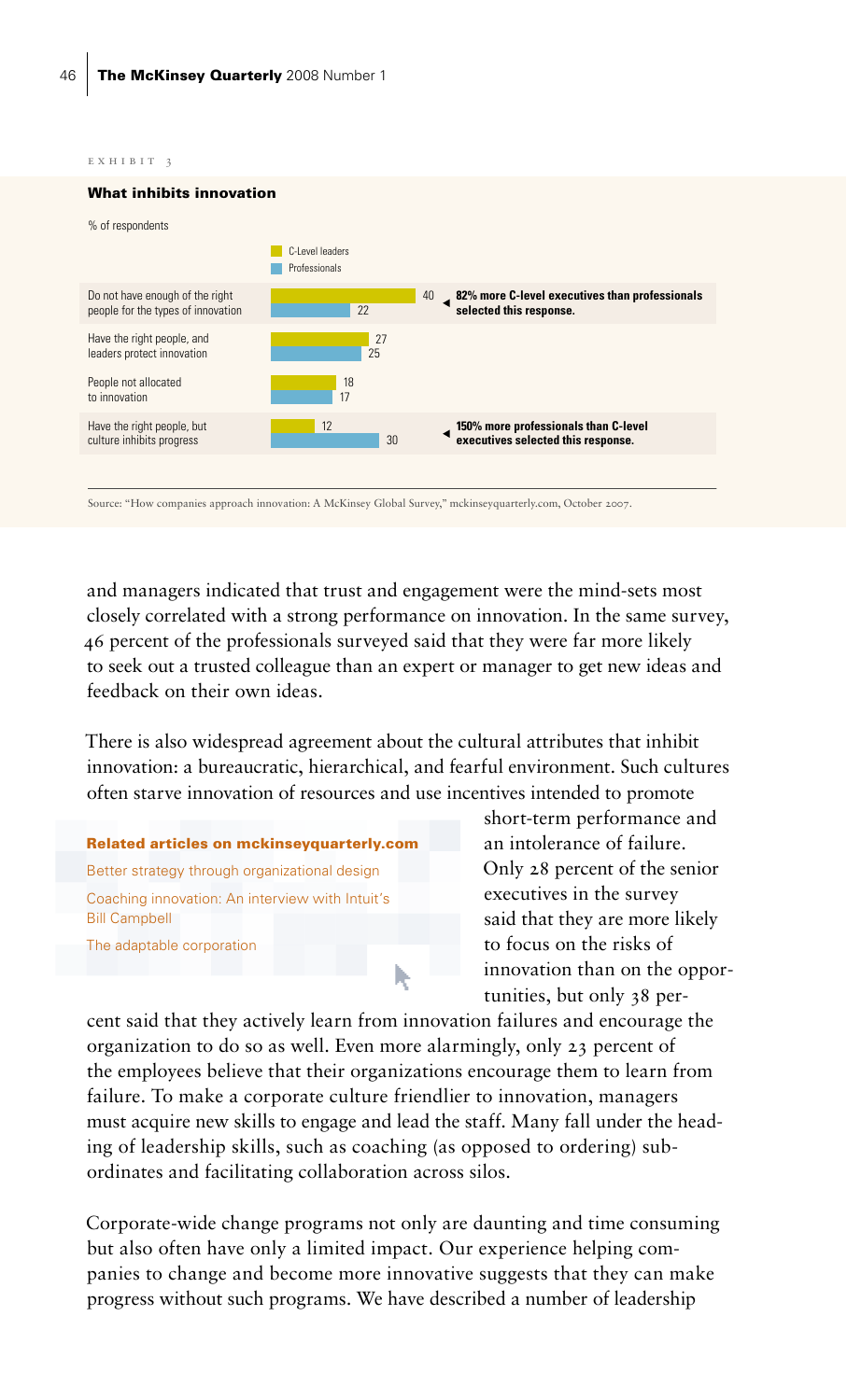exhibit 3



Source: "How companies approach innovation: A McKinsey Global Survey," mckinseyquarterly.com, October 2007.

and managers indicated that trust and engagement were the mind-sets most closely correlated with a strong performance on innovation. In the same survey, 46 percent of the professionals surveyed said that they were far more likely to seek out a trusted colleague than an expert or manager to get new ideas and feedback on their own ideas.

There is also widespread agreement about the cultural attributes that inhibit innovation: a bureaucratic, hierarchical, and fearful environment. Such cultures often starve innovation of resources and use incentives intended to promote

Related articles on mckinseyquarterly.com Better strategy through organizational design Coaching innovation: An interview with Intuit's Bill Campbell The adaptable corporation

short-term performance and an intolerance of failure. Only 28 percent of the senior executives in the survey said that they are more likely to focus on the risks of innovation than on the opportunities, but only 38 per-

cent said that they actively learn from innovation failures and encourage the organization to do so as well. Even more alarmingly, only 23 percent of the employees believe that their organizations encourage them to learn from failure. To make a corporate culture friendlier to innovation, managers must acquire new skills to engage and lead the staff. Many fall under the heading of leadership skills, such as coaching (as opposed to ordering) subordinates and facilitating collaboration across silos.

h,

Corporate-wide change programs not only are daunting and time consuming but also often have only a limited impact. Our experience helping companies to change and become more innovative suggests that they can make progress without such programs. We have described a number of leadership